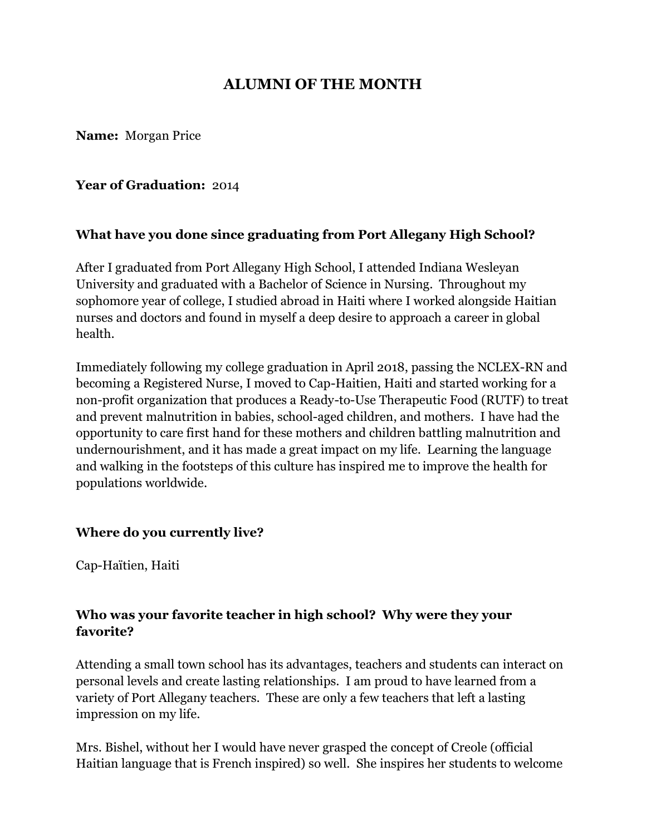# **ALUMNI OF THE MONTH**

**Name:** Morgan Price

#### **Year of Graduation:** 2014

#### **What have you done since graduating from Port Allegany High School?**

After I graduated from Port Allegany High School, I attended Indiana Wesleyan University and graduated with a Bachelor of Science in Nursing. Throughout my sophomore year of college, I studied abroad in Haiti where I worked alongside Haitian nurses and doctors and found in myself a deep desire to approach a career in global health.

Immediately following my college graduation in April 2018, passing the NCLEX-RN and becoming a Registered Nurse, I moved to Cap-Haitien, Haiti and started working for a non-profit organization that produces a Ready-to-Use Therapeutic Food (RUTF) to treat and prevent malnutrition in babies, school-aged children, and mothers. I have had the opportunity to care first hand for these mothers and children battling malnutrition and undernourishment, and it has made a great impact on my life. Learning the language and walking in the footsteps of this culture has inspired me to improve the health for populations worldwide.

#### **Where do you currently live?**

Cap-Haïtien, Haiti

### **Who was your favorite teacher in high school? Why were they your favorite?**

Attending a small town school has its advantages, teachers and students can interact on personal levels and create lasting relationships. I am proud to have learned from a variety of Port Allegany teachers. These are only a few teachers that left a lasting impression on my life.

Mrs. Bishel, without her I would have never grasped the concept of Creole (official Haitian language that is French inspired) so well. She inspires her students to welcome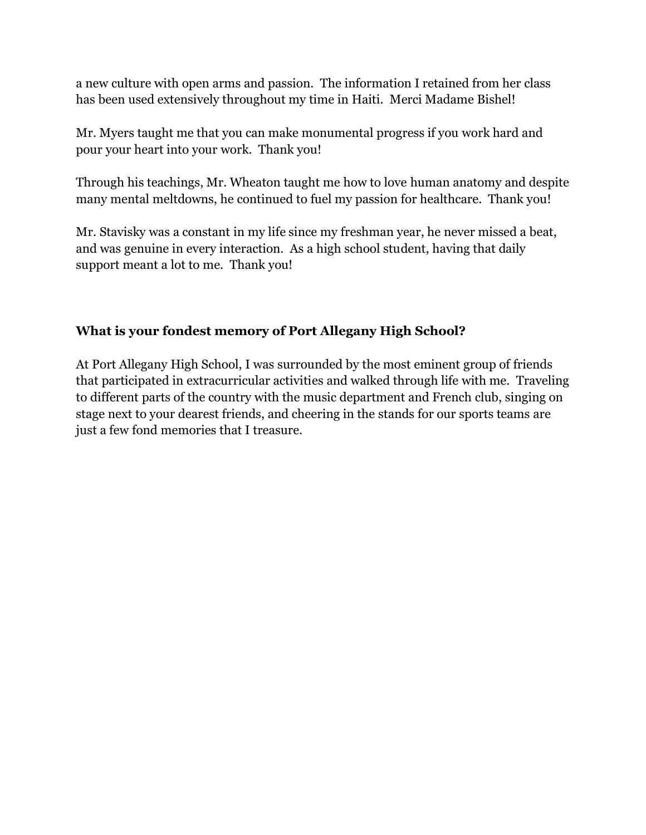a new culture with open arms and passion. The information I retained from her class has been used extensively throughout my time in Haiti. Merci Madame Bishel!

Mr. Myers taught me that you can make monumental progress if you work hard and pour your heart into your work. Thank you!

Through his teachings, Mr. Wheaton taught me how to love human anatomy and despite many mental meltdowns, he continued to fuel my passion for healthcare. Thank you!

Mr. Stavisky was a constant in my life since my freshman year, he never missed a beat, and was genuine in every interaction. As a high school student, having that daily support meant a lot to me. Thank you!

## **What is your fondest memory of Port Allegany High School?**

At Port Allegany High School, I was surrounded by the most eminent group of friends that participated in extracurricular activities and walked through life with me. Traveling to different parts of the country with the music department and French club, singing on stage next to your dearest friends, and cheering in the stands for our sports teams are just a few fond memories that I treasure.